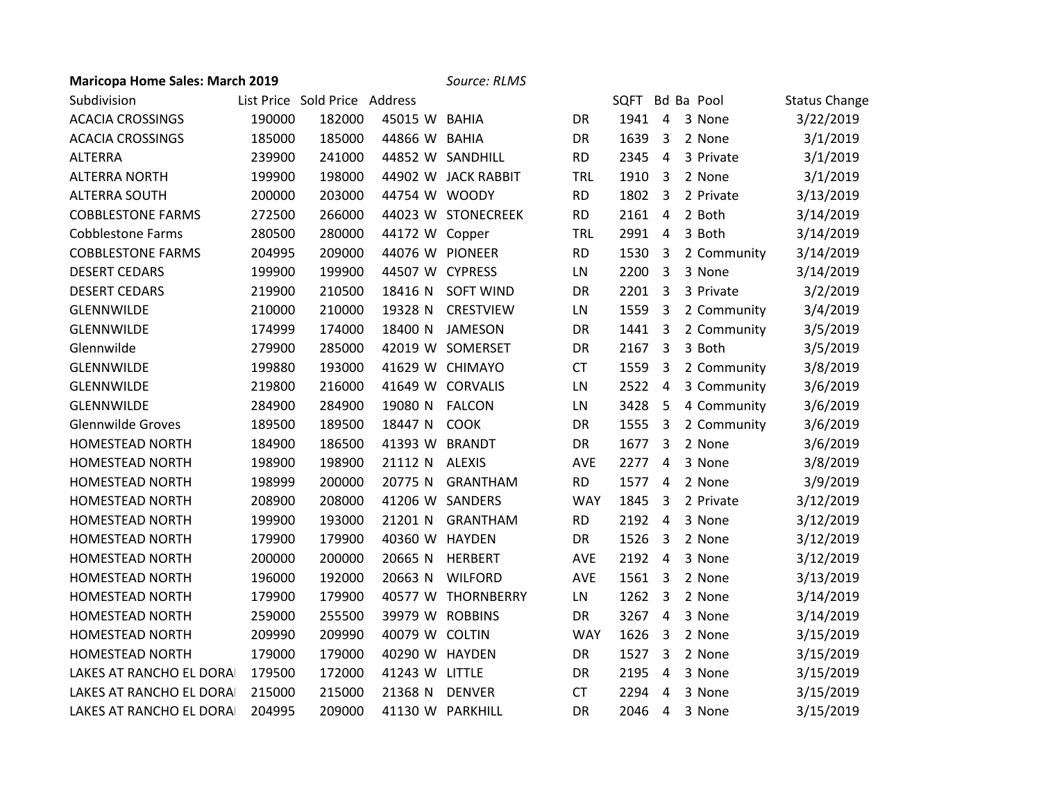## **Maricopa Home Sales: March 2019** *Source: RLMS*

| Subdivision              |        | List Price Sold Price Address |                 |                     |            |      |                         | SQFT Bd Ba Pool | <b>Status Change</b> |
|--------------------------|--------|-------------------------------|-----------------|---------------------|------------|------|-------------------------|-----------------|----------------------|
| <b>ACACIA CROSSINGS</b>  | 190000 | 182000                        | 45015 W BAHIA   |                     | DR         | 1941 | $\overline{4}$          | 3 None          | 3/22/2019            |
| <b>ACACIA CROSSINGS</b>  | 185000 | 185000                        | 44866 W BAHIA   |                     | DR         | 1639 | 3                       | 2 None          | 3/1/2019             |
| <b>ALTERRA</b>           | 239900 | 241000                        |                 | 44852 W SANDHILL    | <b>RD</b>  | 2345 | 4                       | 3 Private       | 3/1/2019             |
| <b>ALTERRA NORTH</b>     | 199900 | 198000                        |                 | 44902 W JACK RABBIT | <b>TRL</b> | 1910 | 3                       | 2 None          | 3/1/2019             |
| <b>ALTERRA SOUTH</b>     | 200000 | 203000                        | 44754 W WOODY   |                     | <b>RD</b>  | 1802 | $\overline{\mathbf{3}}$ | 2 Private       | 3/13/2019            |
| <b>COBBLESTONE FARMS</b> | 272500 | 266000                        |                 | 44023 W STONECREEK  | <b>RD</b>  | 2161 | $\overline{4}$          | 2 Both          | 3/14/2019            |
| <b>Cobblestone Farms</b> | 280500 | 280000                        | 44172 W Copper  |                     | <b>TRL</b> | 2991 | $\overline{4}$          | 3 Both          | 3/14/2019            |
| <b>COBBLESTONE FARMS</b> | 204995 | 209000                        |                 | 44076 W PIONEER     | <b>RD</b>  | 1530 | 3                       | 2 Community     | 3/14/2019            |
| <b>DESERT CEDARS</b>     | 199900 | 199900                        | 44507 W CYPRESS |                     | LN         | 2200 | $\overline{3}$          | 3 None          | 3/14/2019            |
| <b>DESERT CEDARS</b>     | 219900 | 210500                        | 18416 N         | <b>SOFT WIND</b>    | DR         | 2201 | 3                       | 3 Private       | 3/2/2019             |
| <b>GLENNWILDE</b>        | 210000 | 210000                        | 19328 N         | <b>CRESTVIEW</b>    | LN         | 1559 | 3                       | 2 Community     | 3/4/2019             |
| <b>GLENNWILDE</b>        | 174999 | 174000                        | 18400 N         | <b>JAMESON</b>      | DR         | 1441 | 3                       | 2 Community     | 3/5/2019             |
| Glennwilde               | 279900 | 285000                        |                 | 42019 W SOMERSET    | DR         | 2167 | $\overline{\mathbf{3}}$ | 3 Both          | 3/5/2019             |
| <b>GLENNWILDE</b>        | 199880 | 193000                        |                 | 41629 W CHIMAYO     | <b>CT</b>  | 1559 | 3                       | 2 Community     | 3/8/2019             |
| <b>GLENNWILDE</b>        | 219800 | 216000                        |                 | 41649 W CORVALIS    | LN         | 2522 | $\overline{4}$          | 3 Community     | 3/6/2019             |
| GLENNWILDE               | 284900 | 284900                        | 19080 N         | <b>FALCON</b>       | LN         | 3428 | -5                      | 4 Community     | 3/6/2019             |
| <b>Glennwilde Groves</b> | 189500 | 189500                        | 18447 N         | <b>COOK</b>         | DR         | 1555 | $\overline{3}$          | 2 Community     | 3/6/2019             |
| HOMESTEAD NORTH          | 184900 | 186500                        | 41393 W BRANDT  |                     | DR         | 1677 | 3                       | 2 None          | 3/6/2019             |
| <b>HOMESTEAD NORTH</b>   | 198900 | 198900                        | 21112 N         | <b>ALEXIS</b>       | <b>AVE</b> | 2277 | 4                       | 3 None          | 3/8/2019             |
| <b>HOMESTEAD NORTH</b>   | 198999 | 200000                        | 20775 N         | <b>GRANTHAM</b>     | <b>RD</b>  | 1577 | $\overline{4}$          | 2 None          | 3/9/2019             |
| <b>HOMESTEAD NORTH</b>   | 208900 | 208000                        |                 | 41206 W SANDERS     | <b>WAY</b> | 1845 | $\overline{3}$          | 2 Private       | 3/12/2019            |
| <b>HOMESTEAD NORTH</b>   | 199900 | 193000                        | 21201 N         | <b>GRANTHAM</b>     | <b>RD</b>  | 2192 | $\overline{4}$          | 3 None          | 3/12/2019            |
| <b>HOMESTEAD NORTH</b>   | 179900 | 179900                        | 40360 W HAYDEN  |                     | DR         | 1526 | $\overline{3}$          | 2 None          | 3/12/2019            |
| HOMESTEAD NORTH          | 200000 | 200000                        | 20665 N         | <b>HERBERT</b>      | <b>AVE</b> | 2192 | $\overline{4}$          | 3 None          | 3/12/2019            |
| HOMESTEAD NORTH          | 196000 | 192000                        | 20663 N         | <b>WILFORD</b>      | AVE        | 1561 | $\overline{\mathbf{3}}$ | 2 None          | 3/13/2019            |
| <b>HOMESTEAD NORTH</b>   | 179900 | 179900                        |                 | 40577 W THORNBERRY  | LN         | 1262 | $\overline{3}$          | 2 None          | 3/14/2019            |
| <b>HOMESTEAD NORTH</b>   | 259000 | 255500                        |                 | 39979 W ROBBINS     | DR         | 3267 | 4                       | 3 None          | 3/14/2019            |
| <b>HOMESTEAD NORTH</b>   | 209990 | 209990                        | 40079 W COLTIN  |                     | <b>WAY</b> | 1626 | $\overline{3}$          | 2 None          | 3/15/2019            |
| <b>HOMESTEAD NORTH</b>   | 179000 | 179000                        | 40290 W HAYDEN  |                     | DR         | 1527 | $\overline{3}$          | 2 None          | 3/15/2019            |
| LAKES AT RANCHO EL DORA  | 179500 | 172000                        | 41243 W LITTLE  |                     | DR         | 2195 | 4                       | 3 None          | 3/15/2019            |
| LAKES AT RANCHO EL DORA  | 215000 | 215000                        | 21368 N         | <b>DENVER</b>       | <b>CT</b>  | 2294 | 4                       | 3 None          | 3/15/2019            |
| LAKES AT RANCHO EL DORA  | 204995 | 209000                        |                 | 41130 W PARKHILL    | <b>DR</b>  | 2046 | 4                       | 3 None          | 3/15/2019            |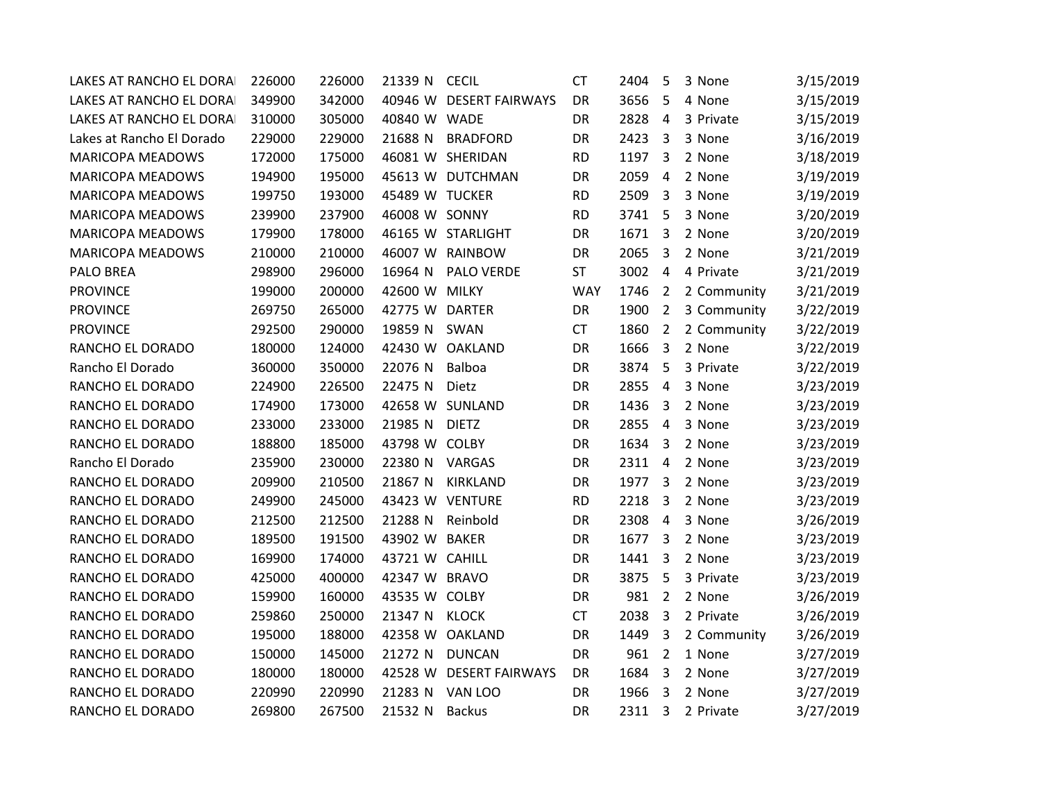| LAKES AT RANCHO EL DORA   | 226000 | 226000 | 21339 N        | <b>CECIL</b>            | <b>CT</b>  | 2404 | 5                       | 3 None      | 3/15/2019 |
|---------------------------|--------|--------|----------------|-------------------------|------------|------|-------------------------|-------------|-----------|
| LAKES AT RANCHO EL DORA   | 349900 | 342000 |                | 40946 W DESERT FAIRWAYS | DR         | 3656 | 5                       | 4 None      | 3/15/2019 |
| LAKES AT RANCHO EL DORA   | 310000 | 305000 | 40840 W WADE   |                         | DR         | 2828 | 4                       | 3 Private   | 3/15/2019 |
| Lakes at Rancho El Dorado | 229000 | 229000 | 21688 N        | <b>BRADFORD</b>         | DR         | 2423 | $\overline{3}$          | 3 None      | 3/16/2019 |
| <b>MARICOPA MEADOWS</b>   | 172000 | 175000 |                | 46081 W SHERIDAN        | <b>RD</b>  | 1197 | 3                       | 2 None      | 3/18/2019 |
| <b>MARICOPA MEADOWS</b>   | 194900 | 195000 |                | 45613 W DUTCHMAN        | DR         | 2059 | 4                       | 2 None      | 3/19/2019 |
| <b>MARICOPA MEADOWS</b>   | 199750 | 193000 | 45489 W TUCKER |                         | <b>RD</b>  | 2509 | 3                       | 3 None      | 3/19/2019 |
| <b>MARICOPA MEADOWS</b>   | 239900 | 237900 | 46008 W SONNY  |                         | <b>RD</b>  | 3741 | 5                       | 3 None      | 3/20/2019 |
| <b>MARICOPA MEADOWS</b>   | 179900 | 178000 |                | 46165 W STARLIGHT       | DR         | 1671 | $\overline{3}$          | 2 None      | 3/20/2019 |
| <b>MARICOPA MEADOWS</b>   | 210000 | 210000 |                | 46007 W RAINBOW         | DR         | 2065 | 3                       | 2 None      | 3/21/2019 |
| <b>PALO BREA</b>          | 298900 | 296000 | 16964 N        | <b>PALO VERDE</b>       | <b>ST</b>  | 3002 | 4                       | 4 Private   | 3/21/2019 |
| <b>PROVINCE</b>           | 199000 | 200000 | 42600 W        | <b>MILKY</b>            | <b>WAY</b> | 1746 | $\overline{2}$          | 2 Community | 3/21/2019 |
| <b>PROVINCE</b>           | 269750 | 265000 | 42775 W DARTER |                         | DR         | 1900 | $\overline{2}$          | 3 Community | 3/22/2019 |
| <b>PROVINCE</b>           | 292500 | 290000 | 19859 N        | SWAN                    | <b>CT</b>  | 1860 | $\overline{2}$          | 2 Community | 3/22/2019 |
| RANCHO EL DORADO          | 180000 | 124000 |                | 42430 W OAKLAND         | DR         | 1666 | 3                       | 2 None      | 3/22/2019 |
| Rancho El Dorado          | 360000 | 350000 | 22076 N        | Balboa                  | DR         | 3874 | 5                       | 3 Private   | 3/22/2019 |
| RANCHO EL DORADO          | 224900 | 226500 | 22475 N        | Dietz                   | DR         | 2855 | 4                       | 3 None      | 3/23/2019 |
| RANCHO EL DORADO          | 174900 | 173000 |                | 42658 W SUNLAND         | DR         | 1436 | $\overline{3}$          | 2 None      | 3/23/2019 |
| RANCHO EL DORADO          | 233000 | 233000 | 21985 N        | <b>DIETZ</b>            | DR         | 2855 | -4                      | 3 None      | 3/23/2019 |
| RANCHO EL DORADO          | 188800 | 185000 | 43798 W COLBY  |                         | DR         | 1634 | 3                       | 2 None      | 3/23/2019 |
| Rancho El Dorado          | 235900 | 230000 | 22380 N        | VARGAS                  | DR         | 2311 | $\overline{4}$          | 2 None      | 3/23/2019 |
| RANCHO EL DORADO          | 209900 | 210500 | 21867 N        | <b>KIRKLAND</b>         | DR         | 1977 | 3                       | 2 None      | 3/23/2019 |
| RANCHO EL DORADO          | 249900 | 245000 |                | 43423 W VENTURE         | <b>RD</b>  | 2218 | 3                       | 2 None      | 3/23/2019 |
| RANCHO EL DORADO          | 212500 | 212500 | 21288 N        | Reinbold                | DR         | 2308 | $\overline{4}$          | 3 None      | 3/26/2019 |
| RANCHO EL DORADO          | 189500 | 191500 | 43902 W        | <b>BAKER</b>            | DR         | 1677 | 3                       | 2 None      | 3/23/2019 |
| RANCHO EL DORADO          | 169900 | 174000 | 43721 W CAHILL |                         | DR         | 1441 | 3                       | 2 None      | 3/23/2019 |
| RANCHO EL DORADO          | 425000 | 400000 | 42347 W BRAVO  |                         | DR         | 3875 | 5                       | 3 Private   | 3/23/2019 |
| RANCHO EL DORADO          | 159900 | 160000 | 43535 W COLBY  |                         | DR         | 981  | $\overline{2}$          | 2 None      | 3/26/2019 |
| RANCHO EL DORADO          | 259860 | 250000 | 21347 N        | <b>KLOCK</b>            | <b>CT</b>  | 2038 | $\overline{3}$          | 2 Private   | 3/26/2019 |
| RANCHO EL DORADO          | 195000 | 188000 |                | 42358 W OAKLAND         | DR         | 1449 | 3                       | 2 Community | 3/26/2019 |
| RANCHO EL DORADO          | 150000 | 145000 | 21272 N        | <b>DUNCAN</b>           | DR         | 961  | $\overline{2}$          | 1 None      | 3/27/2019 |
| RANCHO EL DORADO          | 180000 | 180000 | 42528 W        | <b>DESERT FAIRWAYS</b>  | DR         | 1684 | 3                       | 2 None      | 3/27/2019 |
| RANCHO EL DORADO          | 220990 | 220990 | 21283 N        | VAN LOO                 | DR         | 1966 | 3                       | 2 None      | 3/27/2019 |
| RANCHO EL DORADO          | 269800 | 267500 | 21532 N        | <b>Backus</b>           | DR         | 2311 | $\overline{\mathbf{3}}$ | 2 Private   | 3/27/2019 |